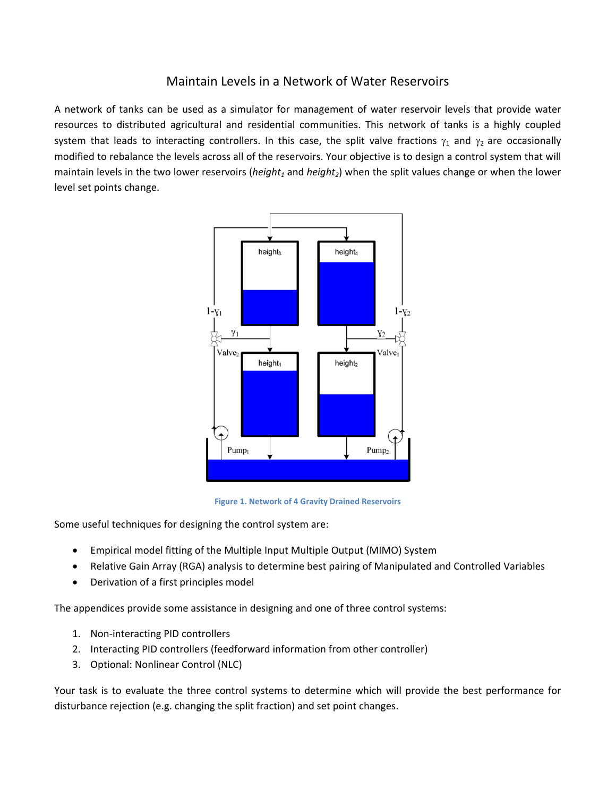## Maintain Levels in a Network of Water Reservoirs

A network of tanks can be used as a simulator for management of water reservoir levels that provide water resources to distributed agricultural and residential communities. This network of tanks is a highly coupled system that leads to interacting controllers. In this case, the split valve fractions  $\gamma_1$  and  $\gamma_2$  are occasionally modified to rebalance the levels across all of the reservoirs. Your objective is to design a control system that will maintain levels in the two lower reservoirs (*height<sub>1</sub>* and *height<sub>2</sub>*) when the split values change or when the lower level set points change.



**Figure 1. Network of 4 Gravity Drained Reservoirs**

Some useful techniques for designing the control system are:

- Empirical model fitting of the Multiple Input Multiple Output (MIMO) System
- Relative Gain Array (RGA) analysis to determine best pairing of Manipulated and Controlled Variables
- Derivation of a first principles model

The appendices provide some assistance in designing and one of three control systems:

- 1. Non‐interacting PID controllers
- 2. Interacting PID controllers (feedforward information from other controller)
- 3. Optional: Nonlinear Control (NLC)

Your task is to evaluate the three control systems to determine which will provide the best performance for disturbance rejection (e.g. changing the split fraction) and set point changes.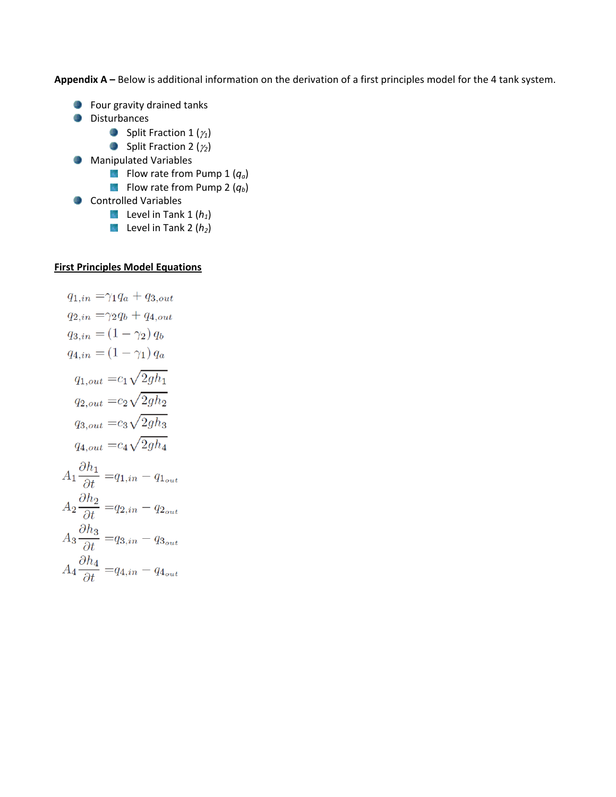**Appendix A –** Below is additional information on the derivation of a first principles model for the 4 tank system.

- **C** Four gravity drained tanks
- **Disturbances** 
	- **Split Fraction 1 (** $\gamma_1$ **)**
	- **Split Fraction 2 (** $\gamma_2$ **)**
- **Manipulated Variables** 
	- Flow rate from Pump 1 ( $q_a$ )
	- **Flow rate from Pump 2**  $(q_b)$
- **Controlled Variables** 
	- **Level in Tank 1 (h<sub>1</sub>)**
	- **Level in Tank 2**  $(h_2)$

## **First Principles Model Equations**

$$
q_{1,in} = \gamma_1 q_a + q_{3,out}
$$
  
\n
$$
q_{2,in} = \gamma_2 q_b + q_{4,out}
$$
  
\n
$$
q_{3,in} = (1 - \gamma_2) q_b
$$
  
\n
$$
q_{4,in} = (1 - \gamma_1) q_a
$$
  
\n
$$
q_{1,out} = c_1 \sqrt{2gh_1}
$$
  
\n
$$
q_{2,out} = c_2 \sqrt{2gh_2}
$$
  
\n
$$
q_{3,out} = c_3 \sqrt{2gh_3}
$$
  
\n
$$
q_{4,out} = c_4 \sqrt{2gh_4}
$$
  
\n
$$
A_1 \frac{\partial h_1}{\partial t} = q_{1,in} - q_{1_{out}}
$$
  
\n
$$
A_2 \frac{\partial h_2}{\partial t} = q_{2,in} - q_{2_{out}}
$$
  
\n
$$
A_3 \frac{\partial h_3}{\partial t} = q_{3,in} - q_{3_{out}}
$$
  
\n
$$
A_4 \frac{\partial h_4}{\partial t} = q_{4,in} - q_{4_{out}}
$$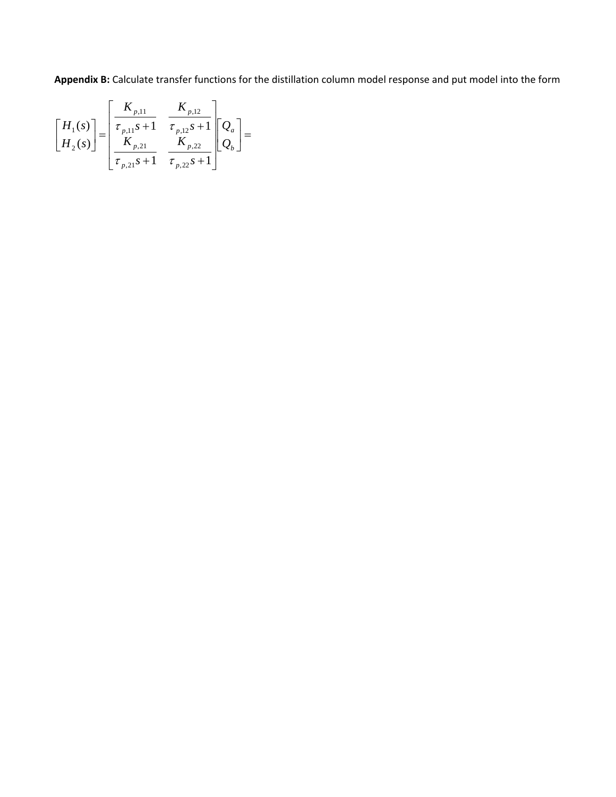**Appendix B:** Calculate transfer functions for the distillation column model response and put model into the form

$$
\begin{bmatrix} H_1(s) \\ H_2(s) \end{bmatrix} = \begin{bmatrix} K_{p,11} & K_{p,12} \\ \hline \tau_{p,11} s + 1 & \hline \tau_{p,12} s + 1 \\ K_{p,21} & K_{p,22} \\ \hline \tau_{p,21} s + 1 & \hline \tau_{p,22} s + 1 \end{bmatrix} \begin{bmatrix} Q_a \\ Q_b \end{bmatrix} =
$$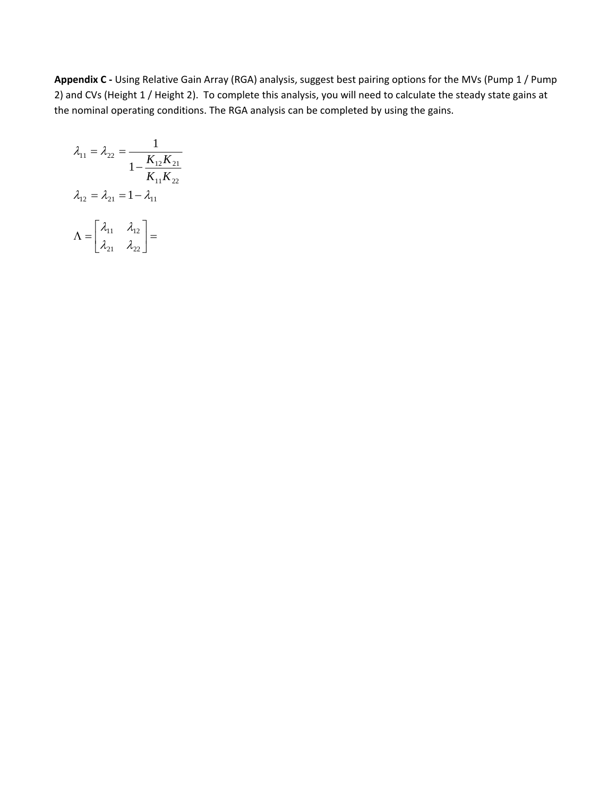**Appendix C ‐** Using Relative Gain Array (RGA) analysis, suggest best pairing options for the MVs (Pump 1 / Pump 2) and CVs (Height 1 / Height 2). To complete this analysis, you will need to calculate the steady state gains at the nominal operating conditions. The RGA analysis can be completed by using the gains.

$$
\lambda_{11} = \lambda_{22} = \frac{1}{1 - \frac{K_{12}K_{21}}{K_{11}K_{22}}}
$$

$$
\lambda_{12} = \lambda_{21} = 1 - \lambda_{11}
$$

$$
\Lambda = \begin{bmatrix} \lambda_{11} & \lambda_{12} \\ \lambda_{21} & \lambda_{22} \end{bmatrix} =
$$